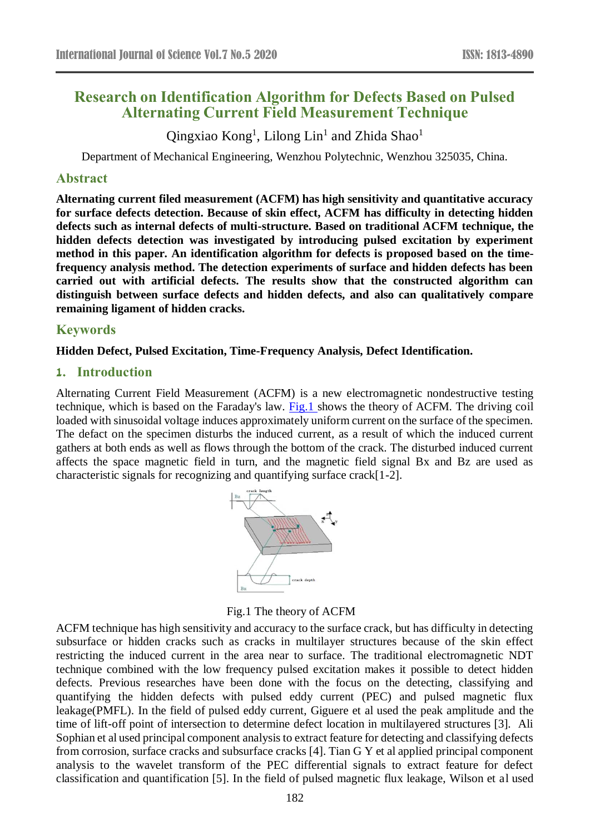# **Research on Identification Algorithm for Defects Based on Pulsed Alternating Current Field Measurement Technique**

Qingxiao Kong<sup>1</sup>, Lilong Lin<sup>1</sup> and Zhida Shao<sup>1</sup>

Department of Mechanical Engineering, Wenzhou Polytechnic, Wenzhou 325035, China.

## **Abstract**

**Alternating current filed measurement (ACFM) has high sensitivity and quantitative accuracy for surface defects detection. Because of skin effect, ACFM has difficulty in detecting hidden defects such as internal defects of multi-structure. Based on traditional ACFM technique, the hidden defects detection was investigated by introducing pulsed excitation by experiment method in this paper. An identification algorithm for defects is proposed based on the timefrequency analysis method. The detection experiments of surface and hidden defects has been carried out with artificial defects. The results show that the constructed algorithm can distinguish between surface defects and hidden defects, and also can qualitatively compare remaining ligament of hidden cracks.**

## **Keywords**

### **Hidden Defect, Pulsed Excitation, Time-Frequency Analysis, Defect Identification.**

### **1. Introduction**

Alternating Current Field Measurement (ACFM) is a new electromagnetic nondestructive testing technique, which is based on the Faraday's law. Fig.1 shows the theory of ACFM. The driving coil loaded with sinusoidal voltage induces approximately uniform current on the surface of the specimen. The defact on the specimen disturbs the induced current, as a result of which the induced current gathers at both ends as well as flows through the bottom of the crack. The disturbed induced current affects the space magnetic field in turn, and the magnetic field signal Bx and Bz are used as characteristic signals for recognizing and quantifying surface crack[1-2].



Fig.1 The theory of ACFM

ACFM technique has high sensitivity and accuracy to the surface crack, but has difficulty in detecting subsurface or hidden cracks such as cracks in multilayer structures because of the skin effect restricting the induced current in the area near to surface. The traditional electromagnetic NDT technique combined with the low frequency pulsed excitation makes it possible to detect hidden defects. Previous researches have been done with the focus on the detecting, classifying and quantifying the hidden defects with pulsed eddy current (PEC) and pulsed magnetic flux leakage(PMFL). In the field of pulsed eddy current, Giguere et al used the peak amplitude and the time of lift-off point of intersection to determine defect location in multilayered structures [3]. Ali Sophian et al used principal component analysis to extract feature for detecting and classifying defects from corrosion, surface cracks and subsurface cracks [4]. Tian G Y et al applied principal component analysis to the wavelet transform of the PEC differential signals to extract feature for defect classification and quantification [5]. In the field of pulsed magnetic flux leakage, Wilson et al used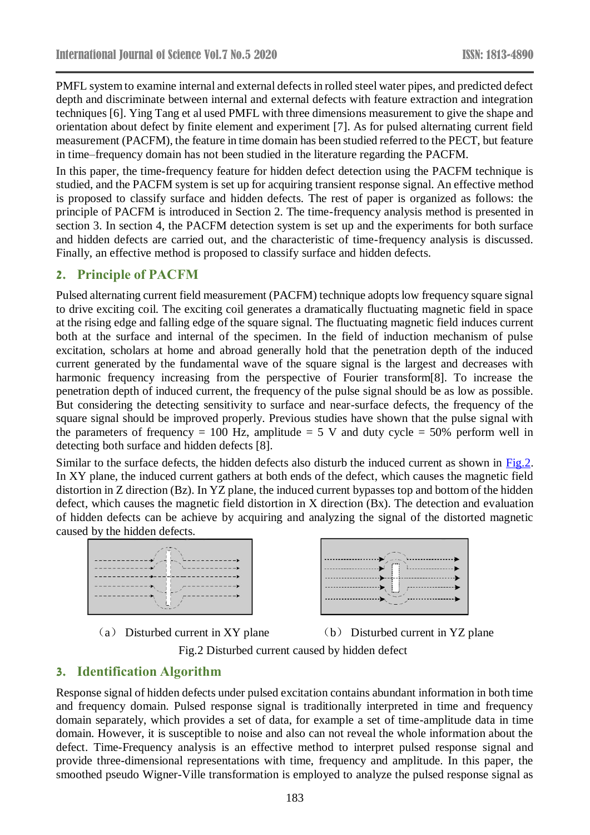PMFL system to examine internal and external defects in rolled steel water pipes, and predicted defect depth and discriminate between internal and external defects with feature extraction and integration techniques [6]. Ying Tang et al used PMFL with three dimensions measurement to give the shape and orientation about defect by finite element and experiment [7]. As for pulsed alternating current field measurement (PACFM), the feature in time domain has been studied referred to the PECT, but feature in time–frequency domain has not been studied in the literature regarding the PACFM.

In this paper, the time-frequency feature for hidden defect detection using the PACFM technique is studied, and the PACFM system is set up for acquiring transient response signal. An effective method is proposed to classify surface and hidden defects. The rest of paper is organized as follows: the principle of PACFM is introduced in Section 2. The time-frequency analysis method is presented in section 3. In section 4, the PACFM detection system is set up and the experiments for both surface and hidden defects are carried out, and the characteristic of time-frequency analysis is discussed. Finally, an effective method is proposed to classify surface and hidden defects.

# **2. Principle of PACFM**

Pulsed alternating current field measurement (PACFM) technique adopts low frequency square signal to drive exciting coil. The exciting coil generates a dramatically fluctuating magnetic field in space at the rising edge and falling edge of the square signal. The fluctuating magnetic field induces current both at the surface and internal of the specimen. In the field of induction mechanism of pulse excitation, scholars at home and abroad generally hold that the penetration depth of the induced current generated by the fundamental wave of the square signal is the largest and decreases with harmonic frequency increasing from the perspective of Fourier transform[8]. To increase the penetration depth of induced current, the frequency of the pulse signal should be as low as possible. But considering the detecting sensitivity to surface and near-surface defects, the frequency of the square signal should be improved properly. Previous studies have shown that the pulse signal with the parameters of frequency = 100 Hz, amplitude = 5 V and duty cycle =  $50\%$  perform well in detecting both surface and hidden defects [8].

Similar to the surface defects, the hidden defects also disturb the induced current as shown in Fig.2. In XY plane, the induced current gathers at both ends of the defect, which causes the magnetic field distortion in Z direction (Bz). In YZ plane, the induced current bypasses top and bottom of the hidden defect, which causes the magnetic field distortion in X direction (Bx). The detection and evaluation of hidden defects can be achieve by acquiring and analyzing the signal of the distorted magnetic caused by the hidden defects.





(a) Disturbed current in XY plane (b) Disturbed current in YZ plane

Fig.2 Disturbed current caused by hidden defect

# **3. Identification Algorithm**

Response signal of hidden defects under pulsed excitation contains abundant information in both time and frequency domain. Pulsed response signal is traditionally interpreted in time and frequency domain separately, which provides a set of data, for example a set of time-amplitude data in time domain. However, it is susceptible to noise and also can not reveal the whole information about the defect. Time-Frequency analysis is an effective method to interpret pulsed response signal and provide three-dimensional representations with time, frequency and amplitude. In this paper, the smoothed pseudo Wigner-Ville transformation is employed to analyze the pulsed response signal as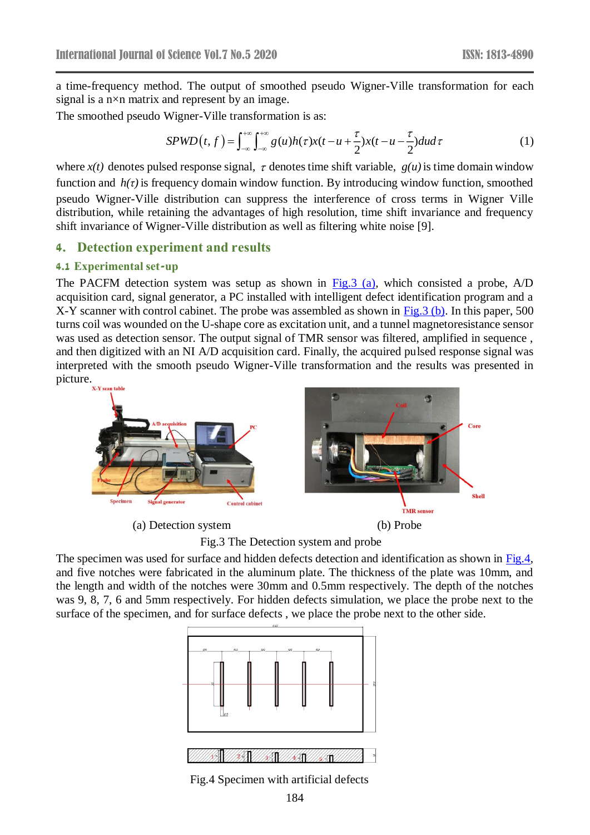a time-frequency method. The output of smoothed pseudo Wigner-Ville transformation for each signal is a n×n matrix and represent by an image.

The smoothed pseudo Wigner-Ville transformation is as:

$$
SPWD(t,f) = \int_{-\infty}^{+\infty} \int_{-\infty}^{+\infty} g(u)h(\tau)x(t-u+\frac{\tau}{2})x(t-u-\frac{\tau}{2})dud\tau
$$
 (1)

where  $x(t)$  denotes pulsed response signal,  $\tau$  denotes time shift variable,  $g(u)$  is time domain window function and  $h(\tau)$  is frequency domain window function. By introducing window function, smoothed pseudo Wigner-Ville distribution can suppress the interference of cross terms in Wigner Ville distribution, while retaining the advantages of high resolution, time shift invariance and frequency shift invariance of Wigner-Ville distribution as well as filtering white noise [9].

#### **4. Detection experiment and results**

#### **4.1 Experimental set-up**

The PACFM detection system was setup as shown in  $Fig.3$  (a), which consisted a probe, A/D acquisition card, signal generator, a PC installed with intelligent defect identification program and a X-Y scanner with control cabinet. The probe was assembled as shown in Fig. 3 (b). In this paper, 500 turns coil was wounded on the U-shape core as excitation unit, and a tunnel magnetoresistance sensor was used as detection sensor. The output signal of TMR sensor was filtered, amplified in sequence , and then digitized with an NI A/D acquisition card. Finally, the acquired pulsed response signal was interpreted with the smooth pseudo Wigner-Ville transformation and the results was presented in picture.



(a) Detection system (b) Probe

Fig.3 The Detection system and probe

The specimen was used for surface and hidden defects detection and identification as shown in Fig.4, and five notches were fabricated in the aluminum plate. The thickness of the plate was 10mm, and the length and width of the notches were 30mm and 0.5mm respectively. The depth of the notches was 9, 8, 7, 6 and 5mm respectively. For hidden defects simulation, we place the probe next to the surface of the specimen, and for surface defects , we place the probe next to the other side.



Fig.4 Specimen with artificial defects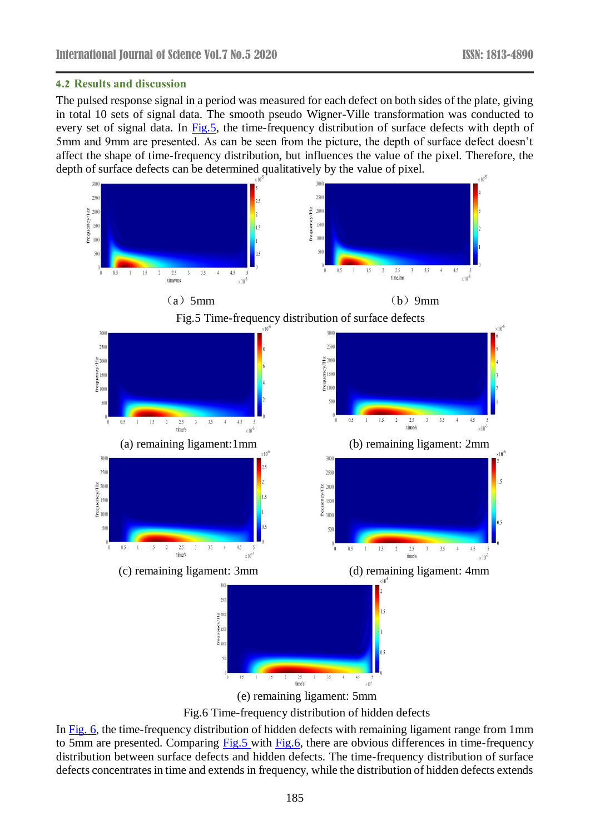#### **4.2 Results and discussion**

The pulsed response signal in a period was measured for each defect on both sides of the plate, giving in total 10 sets of signal data. The smooth pseudo Wigner-Ville transformation was conducted to every set of signal data. In Fig.5, the time-frequency distribution of surface defects with depth of 5mm and 9mm are presented. As can be seen from the picture, the depth of surface defect doesn't affect the shape of time-frequency distribution, but influences the value of the pixel. Therefore, the depth of surface defects can be determined qualitatively by the value of pixel.



Fig.6 Time-frequency distribution of hidden defects

In Fig. 6, the time-frequency distribution of hidden defects with remaining ligament range from 1mm to 5mm are presented. Comparing Fig.5 with Fig.6, there are obvious differences in time-frequency distribution between surface defects and hidden defects. The time-frequency distribution of surface defects concentrates in time and extends in frequency, while the distribution of hidden defects extends